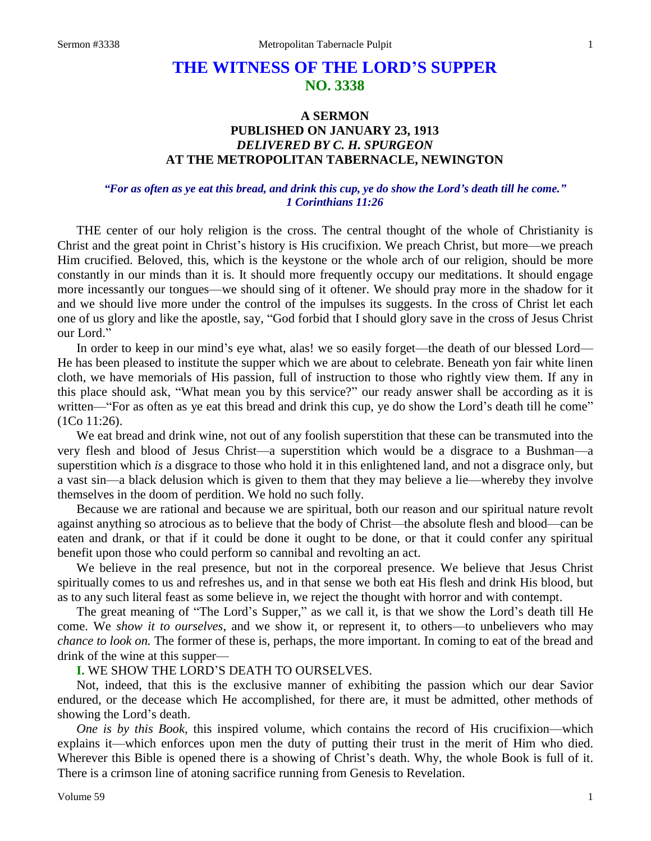# **THE WITNESS OF THE LORD'S SUPPER NO. 3338**

# **A SERMON PUBLISHED ON JANUARY 23, 1913** *DELIVERED BY C. H. SPURGEON* **AT THE METROPOLITAN TABERNACLE, NEWINGTON**

## *"For as often as ye eat this bread, and drink this cup, ye do show the Lord's death till he come." 1 Corinthians 11:26*

THE center of our holy religion is the cross. The central thought of the whole of Christianity is Christ and the great point in Christ's history is His crucifixion. We preach Christ, but more—we preach Him crucified. Beloved, this, which is the keystone or the whole arch of our religion, should be more constantly in our minds than it is. It should more frequently occupy our meditations. It should engage more incessantly our tongues—we should sing of it oftener. We should pray more in the shadow for it and we should live more under the control of the impulses its suggests. In the cross of Christ let each one of us glory and like the apostle, say, "God forbid that I should glory save in the cross of Jesus Christ our Lord."

In order to keep in our mind's eye what, alas! we so easily forget—the death of our blessed Lord— He has been pleased to institute the supper which we are about to celebrate. Beneath yon fair white linen cloth, we have memorials of His passion, full of instruction to those who rightly view them. If any in this place should ask, "What mean you by this service?" our ready answer shall be according as it is written—"For as often as ye eat this bread and drink this cup, ye do show the Lord's death till he come" (1Co 11:26).

We eat bread and drink wine, not out of any foolish superstition that these can be transmuted into the very flesh and blood of Jesus Christ—a superstition which would be a disgrace to a Bushman—a superstition which *is* a disgrace to those who hold it in this enlightened land, and not a disgrace only, but a vast sin—a black delusion which is given to them that they may believe a lie—whereby they involve themselves in the doom of perdition. We hold no such folly.

Because we are rational and because we are spiritual, both our reason and our spiritual nature revolt against anything so atrocious as to believe that the body of Christ—the absolute flesh and blood—can be eaten and drank, or that if it could be done it ought to be done, or that it could confer any spiritual benefit upon those who could perform so cannibal and revolting an act.

We believe in the real presence, but not in the corporeal presence. We believe that Jesus Christ spiritually comes to us and refreshes us, and in that sense we both eat His flesh and drink His blood, but as to any such literal feast as some believe in, we reject the thought with horror and with contempt.

The great meaning of "The Lord's Supper," as we call it, is that we show the Lord's death till He come. We *show it to ourselves*, and we show it, or represent it, to others—to unbelievers who may *chance to look on.* The former of these is, perhaps, the more important. In coming to eat of the bread and drink of the wine at this supper—

#### **I.** WE SHOW THE LORD'S DEATH TO OURSELVES.

Not, indeed, that this is the exclusive manner of exhibiting the passion which our dear Savior endured, or the decease which He accomplished, for there are, it must be admitted, other methods of showing the Lord's death.

*One is by this Book,* this inspired volume, which contains the record of His crucifixion—which explains it—which enforces upon men the duty of putting their trust in the merit of Him who died. Wherever this Bible is opened there is a showing of Christ's death. Why, the whole Book is full of it. There is a crimson line of atoning sacrifice running from Genesis to Revelation.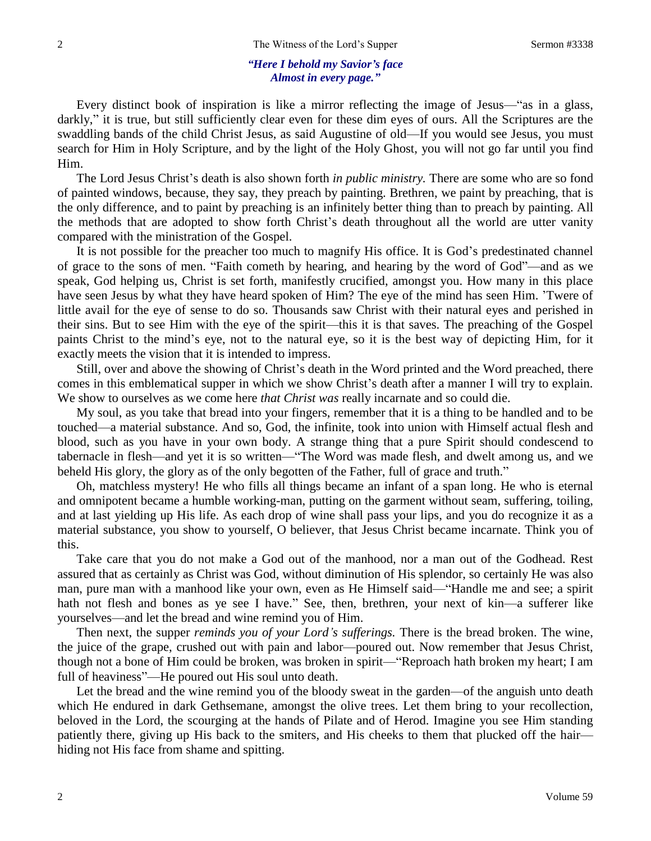#### *"Here I behold my Savior's face Almost in every page."*

Every distinct book of inspiration is like a mirror reflecting the image of Jesus—"as in a glass, darkly," it is true, but still sufficiently clear even for these dim eyes of ours. All the Scriptures are the swaddling bands of the child Christ Jesus, as said Augustine of old—If you would see Jesus, you must search for Him in Holy Scripture, and by the light of the Holy Ghost, you will not go far until you find Him.

The Lord Jesus Christ's death is also shown forth *in public ministry.* There are some who are so fond of painted windows, because, they say, they preach by painting. Brethren, we paint by preaching, that is the only difference, and to paint by preaching is an infinitely better thing than to preach by painting. All the methods that are adopted to show forth Christ's death throughout all the world are utter vanity compared with the ministration of the Gospel.

It is not possible for the preacher too much to magnify His office. It is God's predestinated channel of grace to the sons of men. "Faith cometh by hearing, and hearing by the word of God"—and as we speak, God helping us, Christ is set forth, manifestly crucified, amongst you. How many in this place have seen Jesus by what they have heard spoken of Him? The eye of the mind has seen Him. 'Twere of little avail for the eye of sense to do so. Thousands saw Christ with their natural eyes and perished in their sins. But to see Him with the eye of the spirit—this it is that saves. The preaching of the Gospel paints Christ to the mind's eye, not to the natural eye, so it is the best way of depicting Him, for it exactly meets the vision that it is intended to impress.

Still, over and above the showing of Christ's death in the Word printed and the Word preached, there comes in this emblematical supper in which we show Christ's death after a manner I will try to explain. We show to ourselves as we come here *that Christ was* really incarnate and so could die.

My soul, as you take that bread into your fingers, remember that it is a thing to be handled and to be touched—a material substance. And so, God, the infinite, took into union with Himself actual flesh and blood, such as you have in your own body. A strange thing that a pure Spirit should condescend to tabernacle in flesh—and yet it is so written—"The Word was made flesh, and dwelt among us, and we beheld His glory, the glory as of the only begotten of the Father, full of grace and truth."

Oh, matchless mystery! He who fills all things became an infant of a span long. He who is eternal and omnipotent became a humble working-man, putting on the garment without seam, suffering, toiling, and at last yielding up His life. As each drop of wine shall pass your lips, and you do recognize it as a material substance, you show to yourself, O believer, that Jesus Christ became incarnate. Think you of this.

Take care that you do not make a God out of the manhood, nor a man out of the Godhead. Rest assured that as certainly as Christ was God, without diminution of His splendor, so certainly He was also man, pure man with a manhood like your own, even as He Himself said—"Handle me and see; a spirit hath not flesh and bones as ye see I have." See, then, brethren, your next of kin—a sufferer like yourselves—and let the bread and wine remind you of Him.

Then next, the supper *reminds you of your Lord's sufferings.* There is the bread broken. The wine, the juice of the grape, crushed out with pain and labor—poured out. Now remember that Jesus Christ, though not a bone of Him could be broken, was broken in spirit—"Reproach hath broken my heart; I am full of heaviness"—He poured out His soul unto death.

Let the bread and the wine remind you of the bloody sweat in the garden—of the anguish unto death which He endured in dark Gethsemane, amongst the olive trees. Let them bring to your recollection, beloved in the Lord, the scourging at the hands of Pilate and of Herod. Imagine you see Him standing patiently there, giving up His back to the smiters, and His cheeks to them that plucked off the hair hiding not His face from shame and spitting.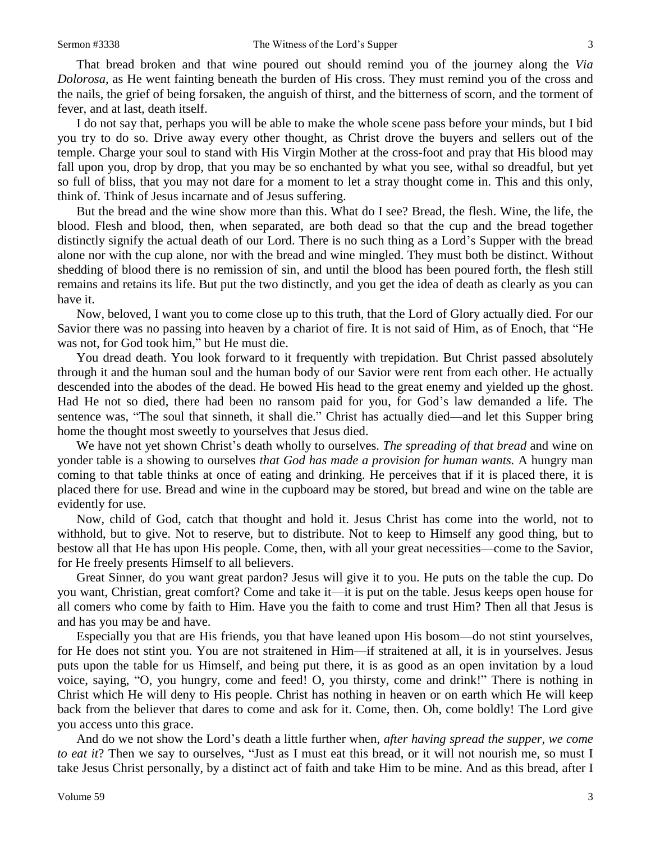That bread broken and that wine poured out should remind you of the journey along the *Via Dolorosa,* as He went fainting beneath the burden of His cross. They must remind you of the cross and the nails, the grief of being forsaken, the anguish of thirst, and the bitterness of scorn, and the torment of fever, and at last, death itself.

I do not say that, perhaps you will be able to make the whole scene pass before your minds, but I bid you try to do so. Drive away every other thought, as Christ drove the buyers and sellers out of the temple. Charge your soul to stand with His Virgin Mother at the cross-foot and pray that His blood may fall upon you, drop by drop, that you may be so enchanted by what you see, withal so dreadful, but yet so full of bliss, that you may not dare for a moment to let a stray thought come in. This and this only, think of. Think of Jesus incarnate and of Jesus suffering.

But the bread and the wine show more than this. What do I see? Bread, the flesh. Wine, the life, the blood. Flesh and blood, then, when separated, are both dead so that the cup and the bread together distinctly signify the actual death of our Lord. There is no such thing as a Lord's Supper with the bread alone nor with the cup alone, nor with the bread and wine mingled. They must both be distinct. Without shedding of blood there is no remission of sin, and until the blood has been poured forth, the flesh still remains and retains its life. But put the two distinctly, and you get the idea of death as clearly as you can have it.

Now, beloved, I want you to come close up to this truth, that the Lord of Glory actually died. For our Savior there was no passing into heaven by a chariot of fire. It is not said of Him, as of Enoch, that "He was not, for God took him," but He must die.

You dread death. You look forward to it frequently with trepidation. But Christ passed absolutely through it and the human soul and the human body of our Savior were rent from each other. He actually descended into the abodes of the dead. He bowed His head to the great enemy and yielded up the ghost. Had He not so died, there had been no ransom paid for you, for God's law demanded a life. The sentence was, "The soul that sinneth, it shall die." Christ has actually died—and let this Supper bring home the thought most sweetly to yourselves that Jesus died.

We have not yet shown Christ's death wholly to ourselves. *The spreading of that bread* and wine on yonder table is a showing to ourselves *that God has made a provision for human wants.* A hungry man coming to that table thinks at once of eating and drinking. He perceives that if it is placed there, it is placed there for use. Bread and wine in the cupboard may be stored, but bread and wine on the table are evidently for use.

Now, child of God, catch that thought and hold it. Jesus Christ has come into the world, not to withhold, but to give. Not to reserve, but to distribute. Not to keep to Himself any good thing, but to bestow all that He has upon His people. Come, then, with all your great necessities—come to the Savior, for He freely presents Himself to all believers.

Great Sinner, do you want great pardon? Jesus will give it to you. He puts on the table the cup. Do you want, Christian, great comfort? Come and take it—it is put on the table. Jesus keeps open house for all comers who come by faith to Him. Have you the faith to come and trust Him? Then all that Jesus is and has you may be and have.

Especially you that are His friends, you that have leaned upon His bosom—do not stint yourselves, for He does not stint you. You are not straitened in Him—if straitened at all, it is in yourselves. Jesus puts upon the table for us Himself, and being put there, it is as good as an open invitation by a loud voice, saying, "O, you hungry, come and feed! O, you thirsty, come and drink!" There is nothing in Christ which He will deny to His people. Christ has nothing in heaven or on earth which He will keep back from the believer that dares to come and ask for it. Come, then. Oh, come boldly! The Lord give you access unto this grace.

And do we not show the Lord's death a little further when, *after having spread the supper, we come to eat it*? Then we say to ourselves, "Just as I must eat this bread, or it will not nourish me, so must I take Jesus Christ personally, by a distinct act of faith and take Him to be mine. And as this bread, after I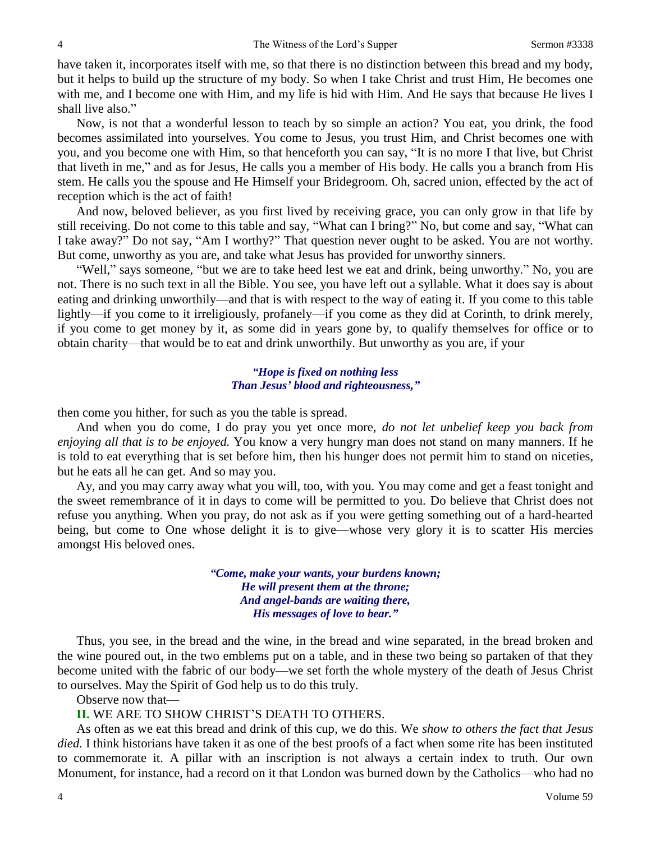have taken it, incorporates itself with me, so that there is no distinction between this bread and my body, but it helps to build up the structure of my body. So when I take Christ and trust Him, He becomes one with me, and I become one with Him, and my life is hid with Him. And He says that because He lives I shall live also."

Now, is not that a wonderful lesson to teach by so simple an action? You eat, you drink, the food becomes assimilated into yourselves. You come to Jesus, you trust Him, and Christ becomes one with you, and you become one with Him, so that henceforth you can say, "It is no more I that live, but Christ that liveth in me," and as for Jesus, He calls you a member of His body. He calls you a branch from His stem. He calls you the spouse and He Himself your Bridegroom. Oh, sacred union, effected by the act of reception which is the act of faith!

And now, beloved believer, as you first lived by receiving grace, you can only grow in that life by still receiving. Do not come to this table and say, "What can I bring?" No, but come and say, "What can I take away?" Do not say, "Am I worthy?" That question never ought to be asked. You are not worthy. But come, unworthy as you are, and take what Jesus has provided for unworthy sinners.

"Well," says someone, "but we are to take heed lest we eat and drink, being unworthy." No, you are not. There is no such text in all the Bible. You see, you have left out a syllable. What it does say is about eating and drinking unworthily—and that is with respect to the way of eating it. If you come to this table lightly—if you come to it irreligiously, profanely—if you come as they did at Corinth, to drink merely, if you come to get money by it, as some did in years gone by, to qualify themselves for office or to obtain charity—that would be to eat and drink unworthily. But unworthy as you are, if your

## *"Hope is fixed on nothing less Than Jesus' blood and righteousness,"*

then come you hither, for such as you the table is spread.

And when you do come, I do pray you yet once more, *do not let unbelief keep you back from enjoying all that is to be enjoyed.* You know a very hungry man does not stand on many manners. If he is told to eat everything that is set before him, then his hunger does not permit him to stand on niceties, but he eats all he can get. And so may you.

Ay, and you may carry away what you will, too, with you. You may come and get a feast tonight and the sweet remembrance of it in days to come will be permitted to you. Do believe that Christ does not refuse you anything. When you pray, do not ask as if you were getting something out of a hard-hearted being, but come to One whose delight it is to give—whose very glory it is to scatter His mercies amongst His beloved ones.

> *"Come, make your wants, your burdens known; He will present them at the throne; And angel-bands are waiting there, His messages of love to bear."*

Thus, you see, in the bread and the wine, in the bread and wine separated, in the bread broken and the wine poured out, in the two emblems put on a table, and in these two being so partaken of that they become united with the fabric of our body—we set forth the whole mystery of the death of Jesus Christ to ourselves. May the Spirit of God help us to do this truly.

Observe now that—

**II.** WE ARE TO SHOW CHRIST'S DEATH TO OTHERS.

As often as we eat this bread and drink of this cup, we do this. We *show to others the fact that Jesus died.* I think historians have taken it as one of the best proofs of a fact when some rite has been instituted to commemorate it. A pillar with an inscription is not always a certain index to truth. Our own Monument, for instance, had a record on it that London was burned down by the Catholics—who had no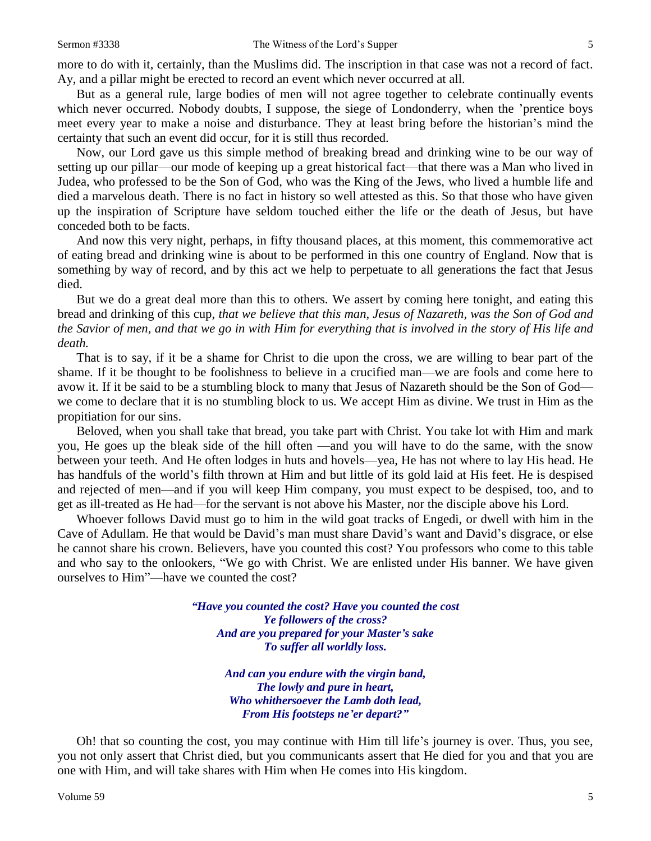But as a general rule, large bodies of men will not agree together to celebrate continually events which never occurred. Nobody doubts, I suppose, the siege of Londonderry, when the 'prentice boys meet every year to make a noise and disturbance. They at least bring before the historian's mind the certainty that such an event did occur, for it is still thus recorded.

Now, our Lord gave us this simple method of breaking bread and drinking wine to be our way of setting up our pillar—our mode of keeping up a great historical fact—that there was a Man who lived in Judea, who professed to be the Son of God, who was the King of the Jews, who lived a humble life and died a marvelous death. There is no fact in history so well attested as this. So that those who have given up the inspiration of Scripture have seldom touched either the life or the death of Jesus, but have conceded both to be facts.

And now this very night, perhaps, in fifty thousand places, at this moment, this commemorative act of eating bread and drinking wine is about to be performed in this one country of England. Now that is something by way of record, and by this act we help to perpetuate to all generations the fact that Jesus died.

But we do a great deal more than this to others. We assert by coming here tonight, and eating this bread and drinking of this cup, *that we believe that this man*, *Jesus of Nazareth, was the Son of God and the Savior of men, and that we go in with Him for everything that is involved in the story of His life and death.* 

That is to say, if it be a shame for Christ to die upon the cross, we are willing to bear part of the shame. If it be thought to be foolishness to believe in a crucified man—we are fools and come here to avow it. If it be said to be a stumbling block to many that Jesus of Nazareth should be the Son of God we come to declare that it is no stumbling block to us. We accept Him as divine. We trust in Him as the propitiation for our sins.

Beloved, when you shall take that bread, you take part with Christ. You take lot with Him and mark you, He goes up the bleak side of the hill often —and you will have to do the same, with the snow between your teeth. And He often lodges in huts and hovels—yea, He has not where to lay His head. He has handfuls of the world's filth thrown at Him and but little of its gold laid at His feet. He is despised and rejected of men—and if you will keep Him company, you must expect to be despised, too, and to get as ill-treated as He had—for the servant is not above his Master, nor the disciple above his Lord.

Whoever follows David must go to him in the wild goat tracks of Engedi, or dwell with him in the Cave of Adullam. He that would be David's man must share David's want and David's disgrace, or else he cannot share his crown. Believers, have you counted this cost? You professors who come to this table and who say to the onlookers, "We go with Christ. We are enlisted under His banner. We have given ourselves to Him"—have we counted the cost?

> *"Have you counted the cost? Have you counted the cost Ye followers of the cross? And are you prepared for your Master's sake To suffer all worldly loss.*

> > *And can you endure with the virgin band, The lowly and pure in heart, Who whithersoever the Lamb doth lead, From His footsteps ne'er depart?"*

Oh! that so counting the cost, you may continue with Him till life's journey is over. Thus, you see, you not only assert that Christ died, but you communicants assert that He died for you and that you are one with Him, and will take shares with Him when He comes into His kingdom.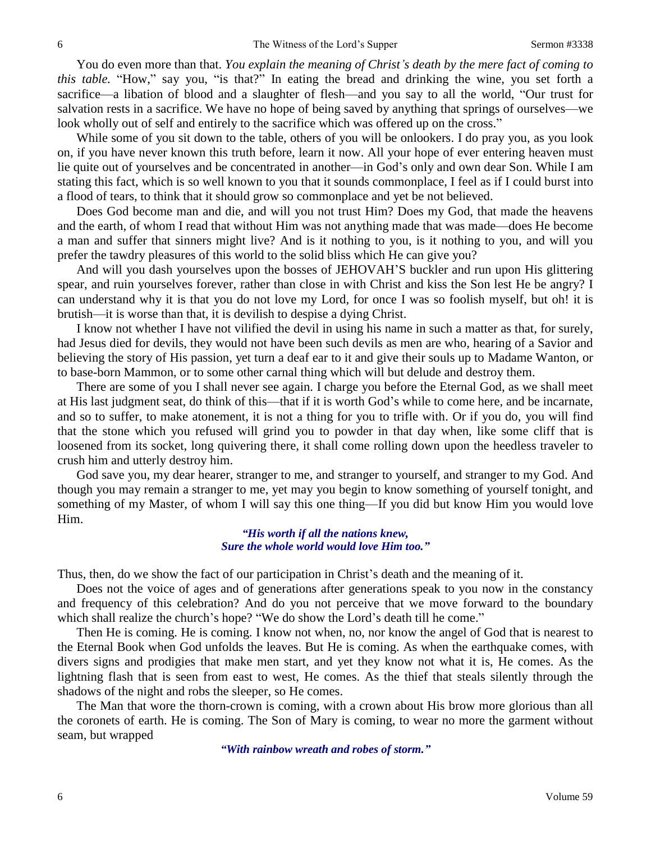You do even more than that. *You explain the meaning of Christ's death by the mere fact of coming to this table.* "How," say you, "is that?" In eating the bread and drinking the wine, you set forth a sacrifice—a libation of blood and a slaughter of flesh—and you say to all the world, "Our trust for salvation rests in a sacrifice. We have no hope of being saved by anything that springs of ourselves—we look wholly out of self and entirely to the sacrifice which was offered up on the cross."

While some of you sit down to the table, others of you will be onlookers. I do pray you, as you look on, if you have never known this truth before, learn it now. All your hope of ever entering heaven must lie quite out of yourselves and be concentrated in another—in God's only and own dear Son. While I am stating this fact, which is so well known to you that it sounds commonplace, I feel as if I could burst into a flood of tears, to think that it should grow so commonplace and yet be not believed.

Does God become man and die, and will you not trust Him? Does my God, that made the heavens and the earth, of whom I read that without Him was not anything made that was made—does He become a man and suffer that sinners might live? And is it nothing to you, is it nothing to you, and will you prefer the tawdry pleasures of this world to the solid bliss which He can give you?

And will you dash yourselves upon the bosses of JEHOVAH'S buckler and run upon His glittering spear, and ruin yourselves forever, rather than close in with Christ and kiss the Son lest He be angry? I can understand why it is that you do not love my Lord, for once I was so foolish myself, but oh! it is brutish—it is worse than that, it is devilish to despise a dying Christ.

I know not whether I have not vilified the devil in using his name in such a matter as that, for surely, had Jesus died for devils, they would not have been such devils as men are who, hearing of a Savior and believing the story of His passion, yet turn a deaf ear to it and give their souls up to Madame Wanton, or to base-born Mammon, or to some other carnal thing which will but delude and destroy them.

There are some of you I shall never see again. I charge you before the Eternal God, as we shall meet at His last judgment seat, do think of this—that if it is worth God's while to come here, and be incarnate, and so to suffer, to make atonement, it is not a thing for you to trifle with. Or if you do, you will find that the stone which you refused will grind you to powder in that day when, like some cliff that is loosened from its socket, long quivering there, it shall come rolling down upon the heedless traveler to crush him and utterly destroy him.

God save you, my dear hearer, stranger to me, and stranger to yourself, and stranger to my God. And though you may remain a stranger to me, yet may you begin to know something of yourself tonight, and something of my Master, of whom I will say this one thing—If you did but know Him you would love Him.

> *"His worth if all the nations knew, Sure the whole world would love Him too."*

Thus, then, do we show the fact of our participation in Christ's death and the meaning of it.

Does not the voice of ages and of generations after generations speak to you now in the constancy and frequency of this celebration? And do you not perceive that we move forward to the boundary which shall realize the church's hope? "We do show the Lord's death till he come."

Then He is coming. He is coming. I know not when, no, nor know the angel of God that is nearest to the Eternal Book when God unfolds the leaves. But He is coming. As when the earthquake comes, with divers signs and prodigies that make men start, and yet they know not what it is, He comes. As the lightning flash that is seen from east to west, He comes. As the thief that steals silently through the shadows of the night and robs the sleeper, so He comes.

The Man that wore the thorn-crown is coming, with a crown about His brow more glorious than all the coronets of earth. He is coming. The Son of Mary is coming, to wear no more the garment without seam, but wrapped

*"With rainbow wreath and robes of storm."*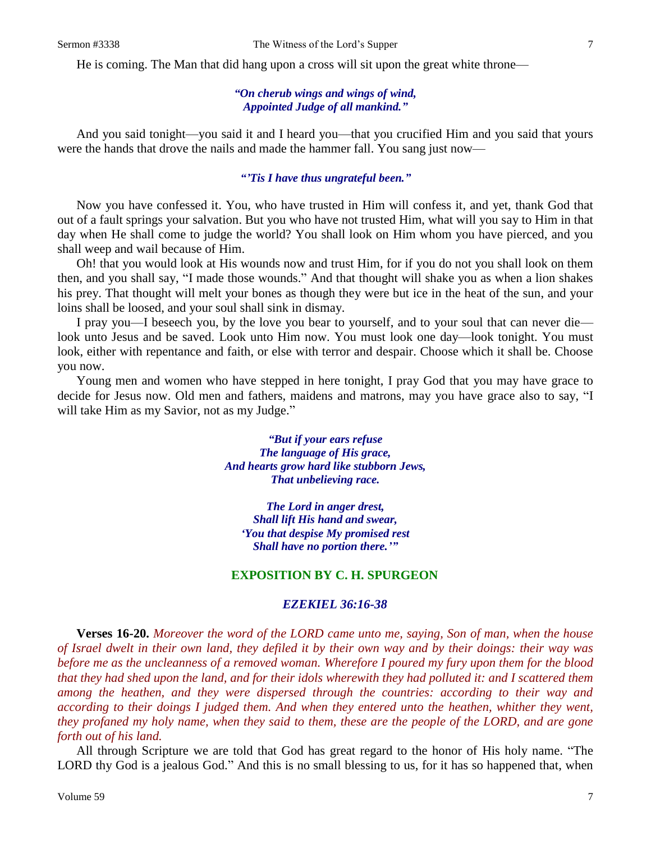He is coming. The Man that did hang upon a cross will sit upon the great white throne—

# *"On cherub wings and wings of wind, Appointed Judge of all mankind."*

And you said tonight—you said it and I heard you—that you crucified Him and you said that yours were the hands that drove the nails and made the hammer fall. You sang just now—

#### *"'Tis I have thus ungrateful been."*

Now you have confessed it. You, who have trusted in Him will confess it, and yet, thank God that out of a fault springs your salvation. But you who have not trusted Him, what will you say to Him in that day when He shall come to judge the world? You shall look on Him whom you have pierced, and you shall weep and wail because of Him.

Oh! that you would look at His wounds now and trust Him, for if you do not you shall look on them then, and you shall say, "I made those wounds." And that thought will shake you as when a lion shakes his prey. That thought will melt your bones as though they were but ice in the heat of the sun, and your loins shall be loosed, and your soul shall sink in dismay.

I pray you—I beseech you, by the love you bear to yourself, and to your soul that can never die look unto Jesus and be saved. Look unto Him now. You must look one day—look tonight. You must look, either with repentance and faith, or else with terror and despair. Choose which it shall be. Choose you now.

Young men and women who have stepped in here tonight, I pray God that you may have grace to decide for Jesus now. Old men and fathers, maidens and matrons, may you have grace also to say, "I will take Him as my Savior, not as my Judge."

> *"But if your ears refuse The language of His grace, And hearts grow hard like stubborn Jews, That unbelieving race.*

*The Lord in anger drest, Shall lift His hand and swear, 'You that despise My promised rest Shall have no portion there.'"*

#### **EXPOSITION BY C. H. SPURGEON**

#### *EZEKIEL 36:16-38*

**Verses 16-20.** *Moreover the word of the LORD came unto me, saying, Son of man, when the house of Israel dwelt in their own land, they defiled it by their own way and by their doings: their way was before me as the uncleanness of a removed woman. Wherefore I poured my fury upon them for the blood that they had shed upon the land, and for their idols wherewith they had polluted it: and I scattered them among the heathen, and they were dispersed through the countries: according to their way and according to their doings I judged them. And when they entered unto the heathen, whither they went, they profaned my holy name, when they said to them, these are the people of the LORD, and are gone forth out of his land.*

All through Scripture we are told that God has great regard to the honor of His holy name. "The LORD thy God is a jealous God." And this is no small blessing to us, for it has so happened that, when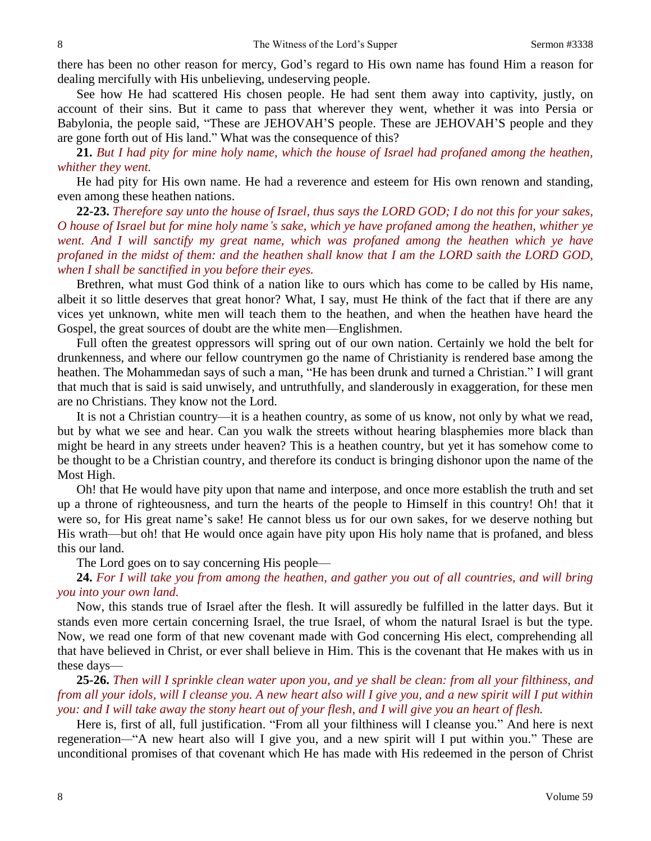there has been no other reason for mercy, God's regard to His own name has found Him a reason for dealing mercifully with His unbelieving, undeserving people.

See how He had scattered His chosen people. He had sent them away into captivity, justly, on account of their sins. But it came to pass that wherever they went, whether it was into Persia or Babylonia, the people said, "These are JEHOVAH'S people. These are JEHOVAH'S people and they are gone forth out of His land." What was the consequence of this?

**21.** *But I had pity for mine holy name, which the house of Israel had profaned among the heathen, whither they went.*

He had pity for His own name. He had a reverence and esteem for His own renown and standing, even among these heathen nations.

**22-23.** *Therefore say unto the house of Israel, thus says the LORD GOD; I do not this for your sakes, O house of Israel but for mine holy name's sake, which ye have profaned among the heathen, whither ye went. And I will sanctify my great name, which was profaned among the heathen which ye have profaned in the midst of them: and the heathen shall know that I am the LORD saith the LORD GOD, when I shall be sanctified in you before their eyes.*

Brethren, what must God think of a nation like to ours which has come to be called by His name, albeit it so little deserves that great honor? What, I say, must He think of the fact that if there are any vices yet unknown, white men will teach them to the heathen, and when the heathen have heard the Gospel, the great sources of doubt are the white men—Englishmen.

Full often the greatest oppressors will spring out of our own nation. Certainly we hold the belt for drunkenness, and where our fellow countrymen go the name of Christianity is rendered base among the heathen. The Mohammedan says of such a man, "He has been drunk and turned a Christian." I will grant that much that is said is said unwisely, and untruthfully, and slanderously in exaggeration, for these men are no Christians. They know not the Lord.

It is not a Christian country—it is a heathen country, as some of us know, not only by what we read, but by what we see and hear. Can you walk the streets without hearing blasphemies more black than might be heard in any streets under heaven? This is a heathen country, but yet it has somehow come to be thought to be a Christian country, and therefore its conduct is bringing dishonor upon the name of the Most High.

Oh! that He would have pity upon that name and interpose, and once more establish the truth and set up a throne of righteousness, and turn the hearts of the people to Himself in this country! Oh! that it were so, for His great name's sake! He cannot bless us for our own sakes, for we deserve nothing but His wrath—but oh! that He would once again have pity upon His holy name that is profaned, and bless this our land.

The Lord goes on to say concerning His people—

**24.** *For I will take you from among the heathen, and gather you out of all countries, and will bring you into your own land.*

Now, this stands true of Israel after the flesh. It will assuredly be fulfilled in the latter days. But it stands even more certain concerning Israel, the true Israel, of whom the natural Israel is but the type. Now, we read one form of that new covenant made with God concerning His elect, comprehending all that have believed in Christ, or ever shall believe in Him. This is the covenant that He makes with us in these days—

**25-26.** *Then will I sprinkle clean water upon you, and ye shall be clean: from all your filthiness, and from all your idols, will I cleanse you. A new heart also will I give you, and a new spirit will I put within you: and I will take away the stony heart out of your flesh, and I will give you an heart of flesh.*

Here is, first of all, full justification. "From all your filthiness will I cleanse you." And here is next regeneration*—*"A new heart also will I give you, and a new spirit will I put within you." These are unconditional promises of that covenant which He has made with His redeemed in the person of Christ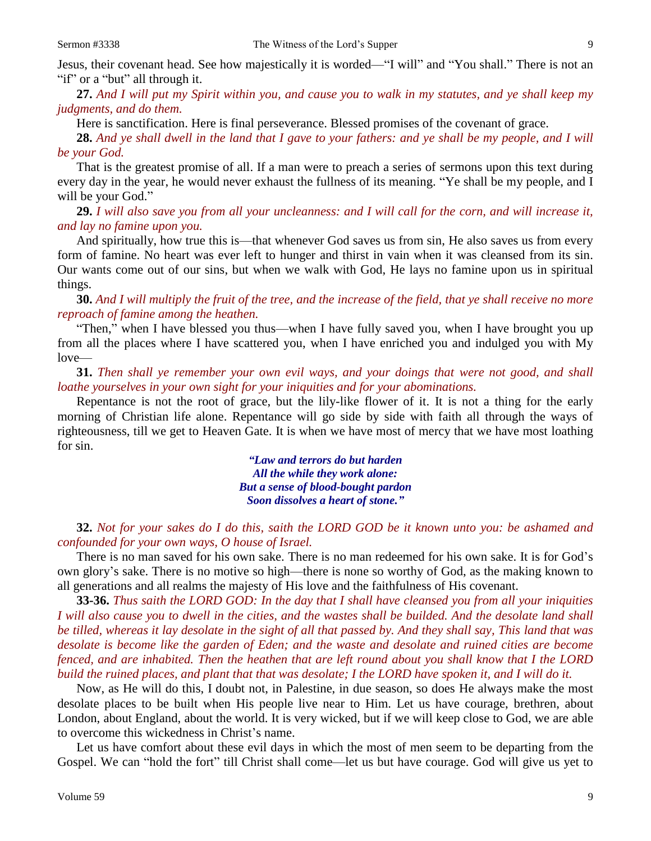**27.** *And I will put my Spirit within you, and cause you to walk in my statutes, and ye shall keep my judgments, and do them.*

Here is sanctification. Here is final perseverance. Blessed promises of the covenant of grace.

**28.** *And ye shall dwell in the land that I gave to your fathers: and ye shall be my people, and I will be your God.*

That is the greatest promise of all. If a man were to preach a series of sermons upon this text during every day in the year, he would never exhaust the fullness of its meaning. "Ye shall be my people, and I will be your God."

**29.** *I will also save you from all your uncleanness: and I will call for the corn, and will increase it, and lay no famine upon you.*

And spiritually, how true this is—that whenever God saves us from sin, He also saves us from every form of famine. No heart was ever left to hunger and thirst in vain when it was cleansed from its sin. Our wants come out of our sins, but when we walk with God, He lays no famine upon us in spiritual things.

**30.** *And I will multiply the fruit of the tree, and the increase of the field, that ye shall receive no more reproach of famine among the heathen.*

"Then," when I have blessed you thus—when I have fully saved you, when I have brought you up from all the places where I have scattered you, when I have enriched you and indulged you with My love—

**31.** *Then shall ye remember your own evil ways, and your doings that were not good, and shall loathe yourselves in your own sight for your iniquities and for your abominations.*

Repentance is not the root of grace, but the lily-like flower of it. It is not a thing for the early morning of Christian life alone. Repentance will go side by side with faith all through the ways of righteousness, till we get to Heaven Gate. It is when we have most of mercy that we have most loathing for sin.

> *"Law and terrors do but harden All the while they work alone: But a sense of blood-bought pardon Soon dissolves a heart of stone."*

**32.** *Not for your sakes do I do this, saith the LORD GOD be it known unto you: be ashamed and confounded for your own ways, O house of Israel.*

There is no man saved for his own sake. There is no man redeemed for his own sake. It is for God's own glory's sake. There is no motive so high—there is none so worthy of God, as the making known to all generations and all realms the majesty of His love and the faithfulness of His covenant.

**33-36.** *Thus saith the LORD GOD: In the day that I shall have cleansed you from all your iniquities I will also cause you to dwell in the cities, and the wastes shall be builded. And the desolate land shall be tilled, whereas it lay desolate in the sight of all that passed by. And they shall say, This land that was desolate is become like the garden of Eden; and the waste and desolate and ruined cities are become fenced, and are inhabited. Then the heathen that are left round about you shall know that I the LORD build the ruined places, and plant that that was desolate; I the LORD have spoken it, and I will do it.*

Now, as He will do this, I doubt not, in Palestine, in due season, so does He always make the most desolate places to be built when His people live near to Him. Let us have courage, brethren, about London, about England, about the world. It is very wicked, but if we will keep close to God, we are able to overcome this wickedness in Christ's name.

Let us have comfort about these evil days in which the most of men seem to be departing from the Gospel. We can "hold the fort" till Christ shall come—let us but have courage. God will give us yet to